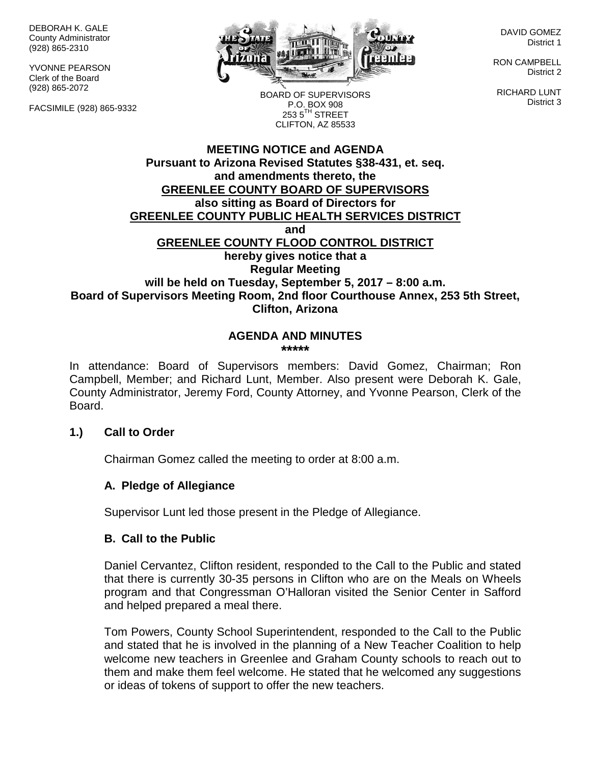DEBORAH K. GALE County Administrator (928) 865-2310

YVONNE PEARSON Clerk of the Board (928) 865-2072

FACSIMILE (928) 865-9332



DAVID GOMEZ District 1

RON CAMPBELL District 2

RICHARD LUNT District 3

BOARD OF SUPERVISORS P.O. BOX 908  $253.5$ <sup>TH</sup> STREET CLIFTON, AZ 85533

## **MEETING NOTICE and AGENDA Pursuant to Arizona Revised Statutes §38-431, et. seq. and amendments thereto, the GREENLEE COUNTY BOARD OF SUPERVISORS also sitting as Board of Directors for GREENLEE COUNTY PUBLIC HEALTH SERVICES DISTRICT and GREENLEE COUNTY FLOOD CONTROL DISTRICT hereby gives notice that a Regular Meeting will be held on Tuesday, September 5, 2017 – 8:00 a.m. Board of Supervisors Meeting Room, 2nd floor Courthouse Annex, 253 5th Street, Clifton, Arizona**

#### **AGENDA AND MINUTES \*\*\*\*\***

In attendance: Board of Supervisors members: David Gomez, Chairman; Ron Campbell, Member; and Richard Lunt, Member. Also present were Deborah K. Gale, County Administrator, Jeremy Ford, County Attorney, and Yvonne Pearson, Clerk of the Board.

## **1.) Call to Order**

Chairman Gomez called the meeting to order at 8:00 a.m.

## **A. Pledge of Allegiance**

Supervisor Lunt led those present in the Pledge of Allegiance.

#### **B. Call to the Public**

Daniel Cervantez, Clifton resident, responded to the Call to the Public and stated that there is currently 30-35 persons in Clifton who are on the Meals on Wheels program and that Congressman O'Halloran visited the Senior Center in Safford and helped prepared a meal there.

Tom Powers, County School Superintendent, responded to the Call to the Public and stated that he is involved in the planning of a New Teacher Coalition to help welcome new teachers in Greenlee and Graham County schools to reach out to them and make them feel welcome. He stated that he welcomed any suggestions or ideas of tokens of support to offer the new teachers.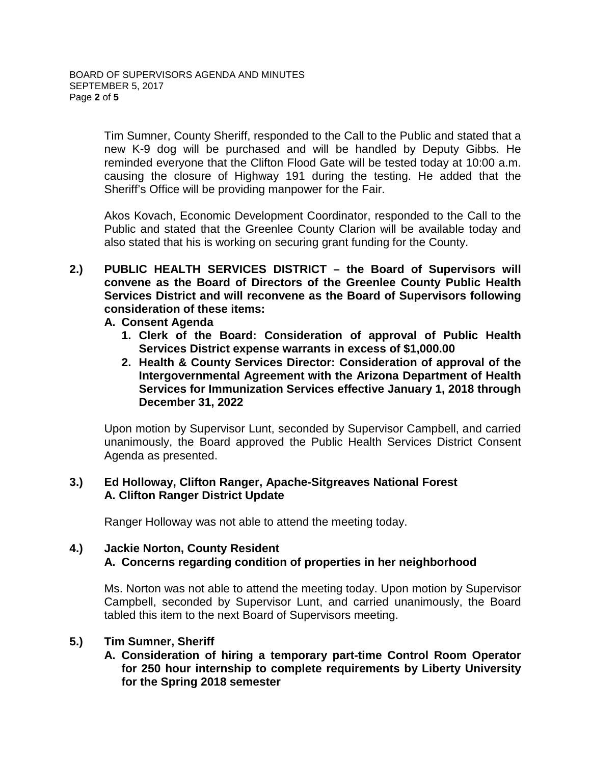Tim Sumner, County Sheriff, responded to the Call to the Public and stated that a new K-9 dog will be purchased and will be handled by Deputy Gibbs. He reminded everyone that the Clifton Flood Gate will be tested today at 10:00 a.m. causing the closure of Highway 191 during the testing. He added that the Sheriff's Office will be providing manpower for the Fair.

Akos Kovach, Economic Development Coordinator, responded to the Call to the Public and stated that the Greenlee County Clarion will be available today and also stated that his is working on securing grant funding for the County.

- **2.) PUBLIC HEALTH SERVICES DISTRICT – the Board of Supervisors will convene as the Board of Directors of the Greenlee County Public Health Services District and will reconvene as the Board of Supervisors following consideration of these items:**
	- **A. Consent Agenda**
		- **1. Clerk of the Board: Consideration of approval of Public Health Services District expense warrants in excess of \$1,000.00**
		- **2. Health & County Services Director: Consideration of approval of the Intergovernmental Agreement with the Arizona Department of Health Services for Immunization Services effective January 1, 2018 through December 31, 2022**

Upon motion by Supervisor Lunt, seconded by Supervisor Campbell, and carried unanimously, the Board approved the Public Health Services District Consent Agenda as presented.

## **3.) Ed Holloway, Clifton Ranger, Apache-Sitgreaves National Forest A. Clifton Ranger District Update**

Ranger Holloway was not able to attend the meeting today.

## **4.) Jackie Norton, County Resident A. Concerns regarding condition of properties in her neighborhood**

Ms. Norton was not able to attend the meeting today. Upon motion by Supervisor Campbell, seconded by Supervisor Lunt, and carried unanimously, the Board tabled this item to the next Board of Supervisors meeting.

## **5.) Tim Sumner, Sheriff**

**A. Consideration of hiring a temporary part-time Control Room Operator for 250 hour internship to complete requirements by Liberty University for the Spring 2018 semester**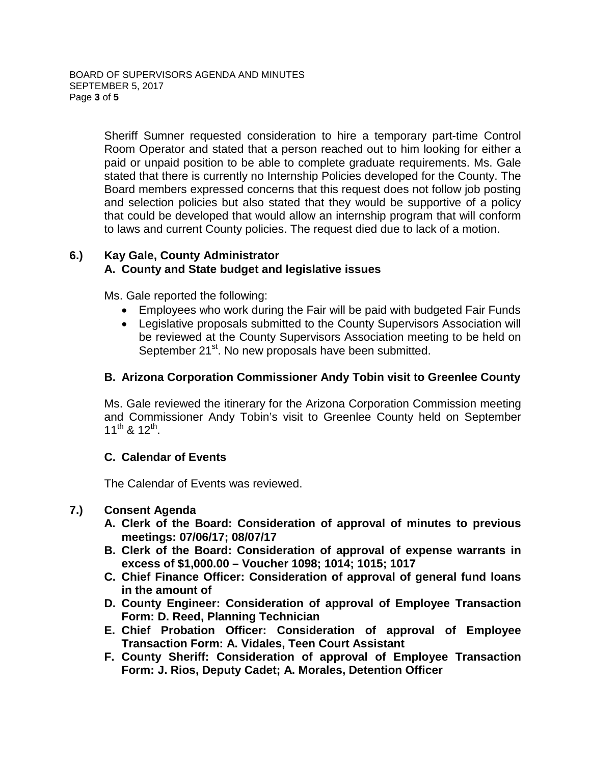Sheriff Sumner requested consideration to hire a temporary part-time Control Room Operator and stated that a person reached out to him looking for either a paid or unpaid position to be able to complete graduate requirements. Ms. Gale stated that there is currently no Internship Policies developed for the County. The Board members expressed concerns that this request does not follow job posting and selection policies but also stated that they would be supportive of a policy that could be developed that would allow an internship program that will conform to laws and current County policies. The request died due to lack of a motion.

#### **6.) Kay Gale, County Administrator A. County and State budget and legislative issues**

Ms. Gale reported the following:

- Employees who work during the Fair will be paid with budgeted Fair Funds
- Legislative proposals submitted to the County Supervisors Association will be reviewed at the County Supervisors Association meeting to be held on September 21<sup>st</sup>. No new proposals have been submitted.

# **B. Arizona Corporation Commissioner Andy Tobin visit to Greenlee County**

Ms. Gale reviewed the itinerary for the Arizona Corporation Commission meeting and Commissioner Andy Tobin's visit to Greenlee County held on September 11<sup>th</sup> & 12<sup>th</sup>.

## **C. Calendar of Events**

The Calendar of Events was reviewed.

## **7.) Consent Agenda**

- **A. Clerk of the Board: Consideration of approval of minutes to previous meetings: 07/06/17; 08/07/17**
- **B. Clerk of the Board: Consideration of approval of expense warrants in excess of \$1,000.00 – Voucher 1098; 1014; 1015; 1017**
- **C. Chief Finance Officer: Consideration of approval of general fund loans in the amount of**
- **D. County Engineer: Consideration of approval of Employee Transaction Form: D. Reed, Planning Technician**
- **E. Chief Probation Officer: Consideration of approval of Employee Transaction Form: A. Vidales, Teen Court Assistant**
- **F. County Sheriff: Consideration of approval of Employee Transaction Form: J. Rios, Deputy Cadet; A. Morales, Detention Officer**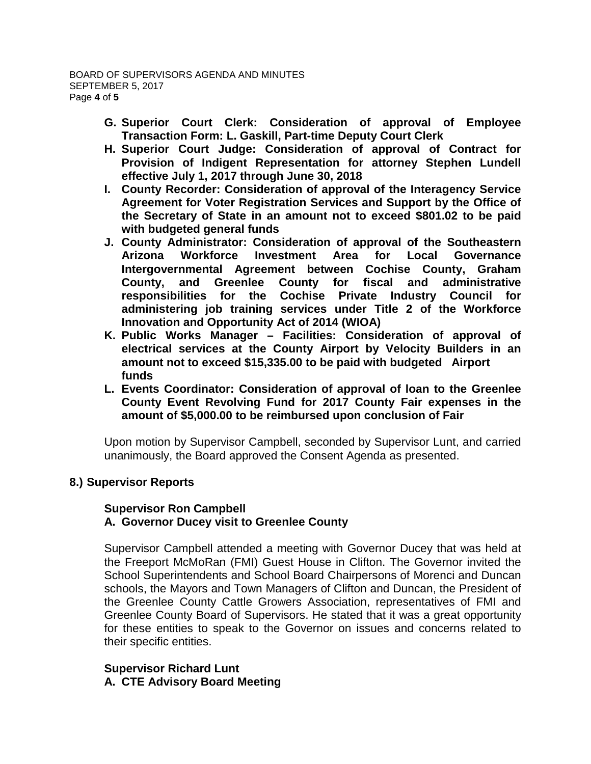- **G. Superior Court Clerk: Consideration of approval of Employee Transaction Form: L. Gaskill, Part-time Deputy Court Clerk**
- **H. Superior Court Judge: Consideration of approval of Contract for Provision of Indigent Representation for attorney Stephen Lundell effective July 1, 2017 through June 30, 2018**
- **I. County Recorder: Consideration of approval of the Interagency Service Agreement for Voter Registration Services and Support by the Office of the Secretary of State in an amount not to exceed \$801.02 to be paid with budgeted general funds**
- **J. County Administrator: Consideration of approval of the Southeastern Arizona Workforce Investment Area for Local Governance Intergovernmental Agreement between Cochise County, Graham County, and Greenlee County for fiscal and administrative responsibilities for the Cochise Private Industry Council for administering job training services under Title 2 of the Workforce Innovation and Opportunity Act of 2014 (WIOA)**
- **K. Public Works Manager – Facilities: Consideration of approval of electrical services at the County Airport by Velocity Builders in an amount not to exceed \$15,335.00 to be paid with budgeted Airport funds**
- **L. Events Coordinator: Consideration of approval of loan to the Greenlee County Event Revolving Fund for 2017 County Fair expenses in the amount of \$5,000.00 to be reimbursed upon conclusion of Fair**

Upon motion by Supervisor Campbell, seconded by Supervisor Lunt, and carried unanimously, the Board approved the Consent Agenda as presented.

# **8.) Supervisor Reports**

#### **Supervisor Ron Campbell A. Governor Ducey visit to Greenlee County**

Supervisor Campbell attended a meeting with Governor Ducey that was held at the Freeport McMoRan (FMI) Guest House in Clifton. The Governor invited the School Superintendents and School Board Chairpersons of Morenci and Duncan schools, the Mayors and Town Managers of Clifton and Duncan, the President of the Greenlee County Cattle Growers Association, representatives of FMI and Greenlee County Board of Supervisors. He stated that it was a great opportunity for these entities to speak to the Governor on issues and concerns related to their specific entities.

#### **Supervisor Richard Lunt A. CTE Advisory Board Meeting**